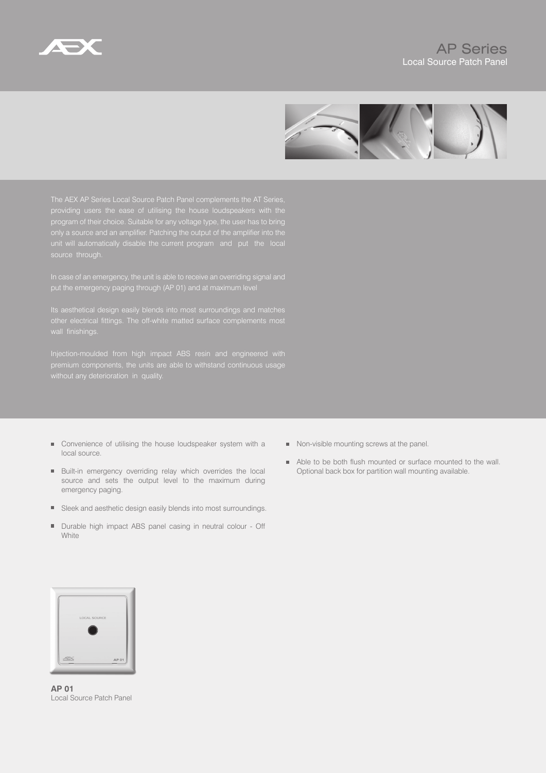



providing users the ease of utilising the house loudspeakers with the program of their choice. Suitable for any voltage type, the user has to bring

premium components, the units are able to withstand continuous usage

- $\blacksquare$  Convenience of utilising the house loudspeaker system with a local source.
- Built-in emergency overriding relay which overrides the local source and sets the output level to the maximum during emergency paging.
- Sleek and aesthetic design easily blends into most surroundings.
- Durable high impact ABS panel casing in neutral colour Off  $\blacksquare$ White
- Non-visible mounting screws at the panel.
- Able to be both flush mounted or surface mounted to the wall. Optional back box for partition wall mounting available.



**AP 01** Local Source Patch Panel